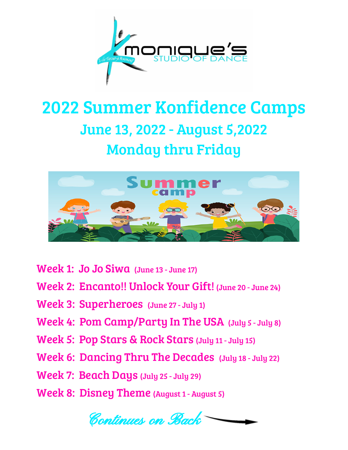

## 2022 Summer Konfidence Camps June 13, 2022 - August 5,2022 Monday thru Friday



Week 1: Jo Jo Siwa (June <sup>13</sup> - June 17)

- Week 2: Encanto!! Unlock Your Gift! (June <sup>20</sup> June 24)
- Week 3: Superheroes (June 27 July 1)
- Week 4: Pom Camp/Party In The USA (July <sup>5</sup> July 8)
- Week 5: Pop Stars & Rock Stars (July <sup>11</sup> July 15)
- Week 6: Dancing Thru The Decades (July <sup>18</sup> July 22)
- Week 7: Beach Days (July <sup>25</sup> July 29)
- Week 8: Disney Theme (August 1 August 5)

Continues on Back